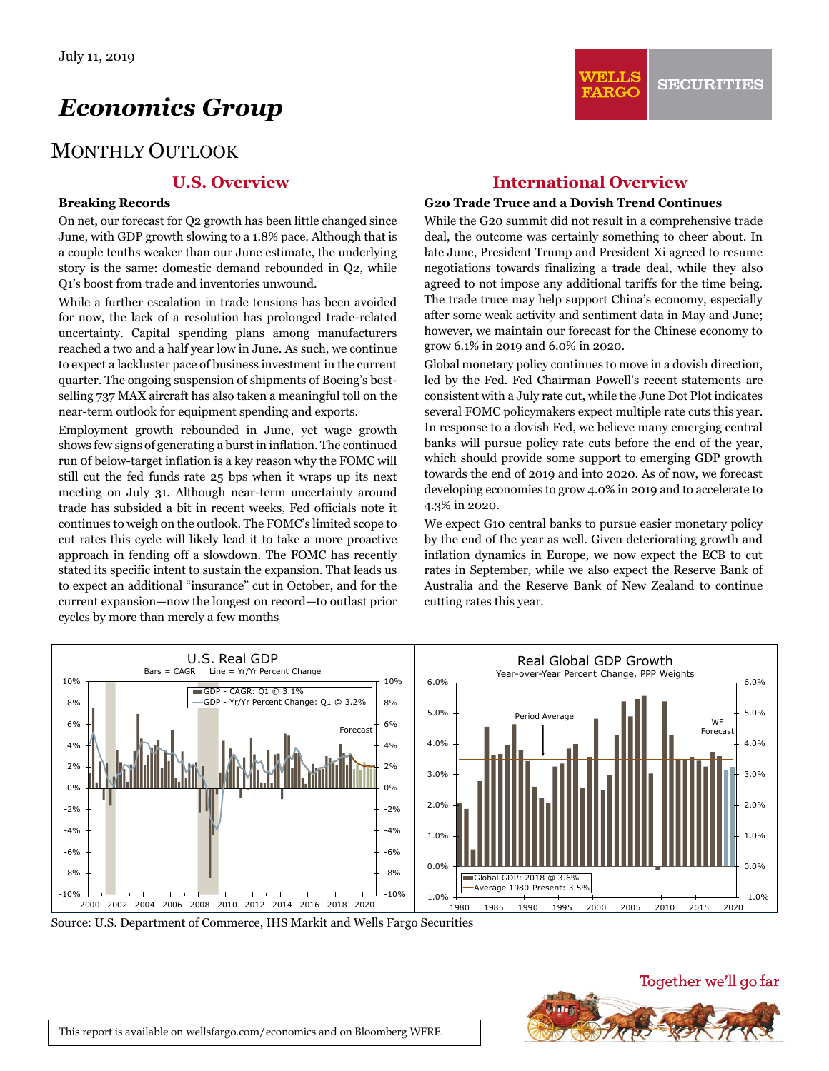# *Economics Group*

## MONTHLY OUTLOOK

## **Breaking Records**

On net, our forecast for Q2 growth has been little changed since June, with GDP growth slowing to a 1.8% pace. Although that is a couple tenths weaker than our June estimate, the underlying story is the same: domestic demand rebounded in Q2, while Q1's boost from trade and inventories unwound.

While a further escalation in trade tensions has been avoided for now, the lack of a resolution has prolonged trade-related uncertainty. Capital spending plans among manufacturers reached a two and a half year low in June. As such, we continue to expect a lackluster pace of business investment in the current quarter. The ongoing suspension of shipments of Boeing's bestselling 737 MAX aircraft has also taken a meaningful toll on the near-term outlook for equipment spending and exports.

Employment growth rebounded in June, yet wage growth shows few signs of generating a burst in inflation. The continued run 0f below-target inflation is a key reason why the FOMC will still cut the fed funds rate 25 bps when it wraps up its next meeting on July 31. Although near-term uncertainty around trade has subsided a bit in recent weeks, Fed officials note it continues to weigh on the outlook. The FOMC's limited scope to cut rates this cycle will likely lead it to take a more proactive approach in fending off a slowdown. The FOMC has recently stated its specific intent to sustain the expansion. That leads us to expect an additional "insurance" cut in October, and for the current expansion—now the longest on record—to outlast prior cycles by more than merely a few months

## **U.S. Overview International Overview**

### **G20 Trade Truce and a Dovish Trend Continues**

While the G20 summit did not result in a comprehensive trade deal, the outcome was certainly something to cheer about. In late June, President Trump and President Xi agreed to resume negotiations towards finalizing a trade deal, while they also agreed to not impose any additional tariffs for the time being. The trade truce may help support China's economy, especially after some weak activity and sentiment data in May and June; however, we maintain our forecast for the Chinese economy to grow 6.1% in 2019 and 6.0% in 2020.

Global monetary policy continues to move in a dovish direction, led by the Fed. Fed Chairman Powell's recent statements are consistent with a July rate cut, while the June Dot Plot indicates several FOMC policymakers expect multiple rate cuts this year. In response to a dovish Fed, we believe many emerging central banks will pursue policy rate cuts before the end of the year, which should provide some support to emerging GDP growth towards the end of 2019 and into 2020. As of now, we forecast developing economies to grow 4.0% in 2019 and to accelerate to 4.3% in 2020.

We expect G10 central banks to pursue easier monetary policy by the end of the year as well. Given deteriorating growth and inflation dynamics in Europe, we now expect the ECB to cut rates in September, while we also expect the Reserve Bank of Australia and the Reserve Bank of New Zealand to continue cutting rates this year.



Source: U.S. Department of Commerce, IHS Markit and Wells Fargo Securities

## Together we'll go far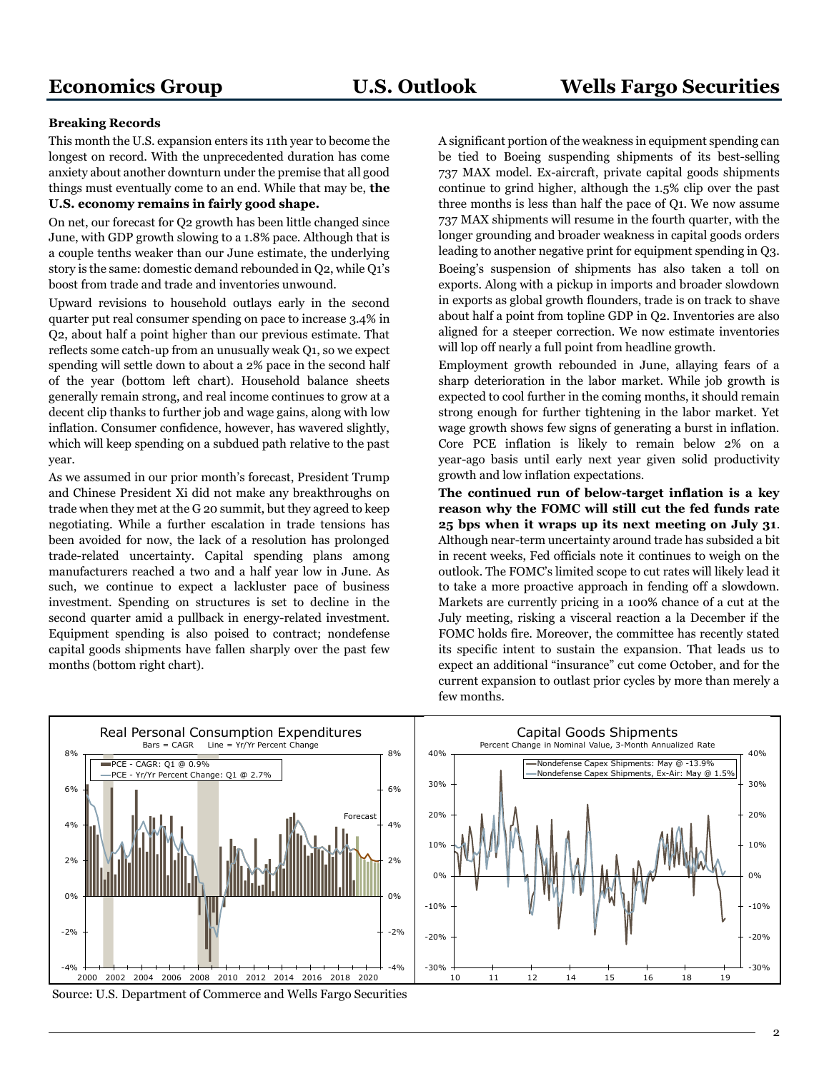### **Breaking Records**

This month the U.S. expansion enters its 11th year to become the longest on record. With the unprecedented duration has come anxiety about another downturn under the premise that all good things must eventually come to an end. While that may be, **the U.S. economy remains in fairly good shape.** 

On net, our forecast for Q2 growth has been little changed since June, with GDP growth slowing to a 1.8% pace. Although that is a couple tenths weaker than our June estimate, the underlying story is the same: domestic demand rebounded in Q2, while Q1's boost from trade and trade and inventories unwound.

Upward revisions to household outlays early in the second quarter put real consumer spending on pace to increase 3.4% in Q2, about half a point higher than our previous estimate. That reflects some catch-up from an unusually weak Q1, so we expect spending will settle down to about a 2% pace in the second half of the year (bottom left chart). Household balance sheets generally remain strong, and real income continues to grow at a decent clip thanks to further job and wage gains, along with low inflation. Consumer confidence, however, has wavered slightly, which will keep spending on a subdued path relative to the past year.

As we assumed in our prior month's forecast, President Trump and Chinese President Xi did not make any breakthroughs on trade when they met at the G 20 summit, but they agreed to keep negotiating. While a further escalation in trade tensions has been avoided for now, the lack of a resolution has prolonged trade-related uncertainty. Capital spending plans among manufacturers reached a two and a half year low in June. As such, we continue to expect a lackluster pace of business investment. Spending on structures is set to decline in the second quarter amid a pullback in energy-related investment. Equipment spending is also poised to contract; nondefense capital goods shipments have fallen sharply over the past few months (bottom right chart).

A significant portion of the weakness in equipment spending can be tied to Boeing suspending shipments of its best-selling 737 MAX model. Ex-aircraft, private capital goods shipments continue to grind higher, although the 1.5% clip over the past three months is less than half the pace of Q1. We now assume 737 MAX shipments will resume in the fourth quarter, with the longer grounding and broader weakness in capital goods orders leading to another negative print for equipment spending in Q3. Boeing's suspension of shipments has also taken a toll on exports. Along with a pickup in imports and broader slowdown in exports as global growth flounders, trade is on track to shave about half a point from topline GDP in Q2. Inventories are also aligned for a steeper correction. We now estimate inventories will lop off nearly a full point from headline growth.

Employment growth rebounded in June, allaying fears of a sharp deterioration in the labor market. While job growth is expected to cool further in the coming months, it should remain strong enough for further tightening in the labor market. Yet wage growth shows few signs of generating a burst in inflation. Core PCE inflation is likely to remain below 2% on a year-ago basis until early next year given solid productivity growth and low inflation expectations.

**The continued run 0f below-target inflation is a key reason why the FOMC will still cut the fed funds rate 25 bps when it wraps up its next meeting on July 31**. Although near-term uncertainty around trade has subsided a bit in recent weeks, Fed officials note it continues to weigh on the outlook. The FOMC's limited scope to cut rates will likely lead it to take a more proactive approach in fending off a slowdown. Markets are currently pricing in a 100% chance of a cut at the July meeting, risking a visceral reaction a la December if the FOMC holds fire. Moreover, the committee has recently stated its specific intent to sustain the expansion. That leads us to expect an additional "insurance" cut come October, and for the current expansion to outlast prior cycles by more than merely a few months.



Source: U.S. Department of Commerce and Wells Fargo Securities

-30%

-20%

-10%

0%

10%

20%

30%

40%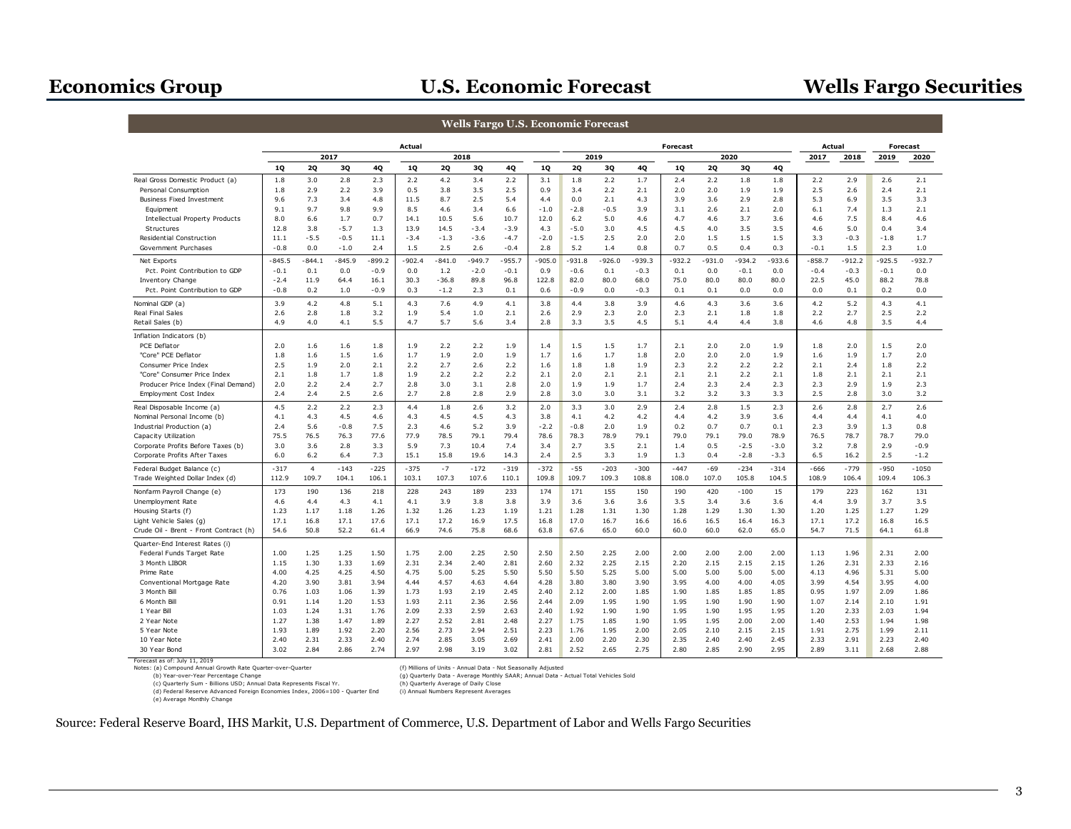## **Economics Group U.S. Economic Forecast Wells Fargo Securities**

|                                                                    |             |                |                |             |                  |                  | <b>Wells Fargo U.S. Economic Forecast</b> |             |                  |                  |             |                  |                 |                  |             |             |             |             |                 |             |
|--------------------------------------------------------------------|-------------|----------------|----------------|-------------|------------------|------------------|-------------------------------------------|-------------|------------------|------------------|-------------|------------------|-----------------|------------------|-------------|-------------|-------------|-------------|-----------------|-------------|
|                                                                    |             |                |                |             | Actual           |                  |                                           |             |                  |                  |             |                  | <b>Forecast</b> |                  |             |             | Actual      |             | <b>Forecast</b> |             |
|                                                                    |             |                | 2017           |             |                  |                  | 2018                                      |             |                  |                  | 2019        |                  |                 |                  | 2020        |             | 2017        | 2018        | 2019            | 2020        |
| Real Gross Domestic Product (a)                                    | 10<br>1.8   | 20<br>3.0      | 3Q<br>2.8      | 4Q<br>2.3   | <b>10</b><br>2.2 | <b>2Q</b><br>4.2 | 3Q<br>3.4                                 | 4Q<br>2.2   | <b>10</b><br>3.1 | <b>2Q</b><br>1.8 | 30<br>2.2   | <b>40</b><br>1.7 | 10<br>2.4       | <b>2Q</b><br>2.2 | 30<br>$1.8$ | 4Q<br>1.8   | 2.2         | 2.9         | 2.6             | 2.1         |
| Personal Consumption                                               | 1.8         | 2.9            | 2.2            | 3.9         | 0.5              | 3.8              | 3.5                                       | 2.5         | 0.9              | 3.4              | 2.2         | 2.1              | 2.0             | 2.0              | 1.9         | 1.9         | 2.5         | 2.6         | 2.4             | 2.1         |
| <b>Business Fixed Investment</b>                                   | 9.6         | 7.3            | 3.4            | 4.8         | 11.5             | 8.7              | 2.5                                       | 5.4         | 4.4              | 0.0              | 2.1         | 4.3              | 3.9             | 3.6              | 2.9         | 2.8         | 5.3         | 6.9         | 3.5             | 3.3         |
| Equipment                                                          | 9.1         | 9.7            | 9.8            | 9.9         | 8.5              | 4.6              | 3.4                                       | 6.6         | $-1.0$           | $-2.8$           | $-0.5$      | 3.9              | 3.1             | 2.6              | 2.1         | 2.0         | 6.1         | 7.4         | 1.3             | 2.1         |
| <b>Intellectual Property Products</b>                              | 8.0         | 6.6            | 1.7            | 0.7         | 14.1             | 10.5             | 5.6                                       | 10.7        | 12.0             | 6.2              | 5.0         | 4.6              | 4.7             | 4.6              | 3.7         | 3.6         | 4.6         | 7.5         | 8.4             | 4.6         |
| Structures                                                         | 12.8        | 3.8            | $-5.7$         | 1.3         | 13.9             | 14.5             | $-3.4$                                    | $-3.9$      | 4.3              | $-5.0$           | 3.0         | 4.5              | 4.5             | 4.0              | 3.5         | 3.5         | 4.6         | 5.0         | 0.4             | 3.4         |
| Residential Construction                                           | 11.1        | $-5.5$         | $-0.5$         | 11.1        | $-3.4$           | $-1.3$           | $-3.6$                                    | $-4.7$      | $-2.0$           | $-1.5$           | 2.5         | 2.0              | 2.0             | 1.5              | 1.5         | 1.5         | 3.3         | $-0.3$      | $-1.8$          | 1.7         |
| Government Purchases                                               | $-0.8$      | 0.0            | $-1.0$         | 2.4         | 1.5              | 2.5              | 2.6                                       | $-0.4$      | 2.8              | 5.2              | 1.4         | 0.8              | 0.7             | 0.5              | 0.4         | 0.3         | $-0.1$      | 1.5         | 2.3             | 1.0         |
| Net Exports                                                        | $-845.5$    | $-844.1$       | $-845.9$       | $-899.2$    | $-902.4$         | $-841.0$         | $-949.7$                                  | $-955.7$    | $-905.0$         | $-931.8$         | $-926.0$    | $-939.3$         | $-932.2$        | $-931.0$         | $-934.2$    | $-933.6$    | $-858.7$    | $-912.2$    | $-925.5$        | $-932.7$    |
| Pct. Point Contribution to GDP                                     | $-0.1$      | 0.1            | 0.0            | $-0.9$      | 0.0              | 1.2              | $-2.0$                                    | $-0.1$      | 0.9              | $-0.6$           | 0.1         | $-0.3$           | 0.1             | 0.0              | $-0.1$      | 0.0         | $-0.4$      | $-0.3$      | $-0.1$          | 0.0         |
| Inventory Change                                                   | $-2.4$      | 11.9           | 64.4           | 16.1        | 30.3             | $-36.8$          | 89.8                                      | 96.8        | 122.8            | 82.0             | 80.0        | 68.0             | 75.0            | 80.0             | 80.0        | 80.0        | 22.5        | 45.0        | 88.2            | 78.8        |
| Pct. Point Contribution to GDP                                     | $-0.8$      | 0.2            | 1.0            | $-0.9$      | 0.3              | $-1.2$           | 2.3                                       | 0.1         | 0.6              | $-0.9$           | 0.0         | $-0.3$           | 0.1             | 0.1              | 0.0         | 0.0         | 0.0         | 0.1         | 0.2             | 0.0         |
|                                                                    |             |                |                |             |                  |                  |                                           |             |                  |                  |             |                  |                 |                  |             |             |             |             |                 |             |
| Nominal GDP (a)<br>Real Final Sales                                | 3.9<br>2.6  | 4.2<br>2.8     | 4.8<br>1.8     | 5.1<br>3.2  | 4.3<br>1.9       | 7.6<br>5.4       | 4.9<br>1.0                                | 4.1<br>2.1  | 3.8<br>2.6       | 4.4<br>2.9       | 3.8<br>2.3  | 3.9<br>2.0       | 4.6<br>2.3      | 4.3<br>2.1       | 3.6<br>1.8  | 3.6<br>1.8  | 4.2<br>2.2  | 5.2<br>2.7  | 4.3<br>2.5      | 4.1<br>2.2  |
| Retail Sales (b)                                                   | 4.9         | 4.0            | 4.1            | 5.5         | 4.7              | 5.7              | 5.6                                       | 3.4         | 2.8              | 3.3              | 3.5         | 4.5              | 5.1             | 4.4              | 4.4         | 3.8         | 4.6         | 4.8         | 3.5             | 4.4         |
|                                                                    |             |                |                |             |                  |                  |                                           |             |                  |                  |             |                  |                 |                  |             |             |             |             |                 |             |
| Inflation Indicators (b)                                           |             |                |                |             |                  |                  |                                           |             |                  |                  |             |                  |                 |                  |             |             |             |             |                 |             |
| PCE Deflator                                                       | 2.0         | 1.6            | 1.6            | 1.8         | 1.9              | 2.2              | 2.2                                       | 1.9         | 1.4              | 1.5              | 1.5         | 1.7              | 2.1             | 2.0              | 2.0         | 1.9         | 1.8         | 2.0         | 1.5             | 2.0         |
| "Core" PCE Deflator                                                | 1.8         | 1.6            | 1.5            | 1.6         | 1.7              | 1.9              | 2.0                                       | 1.9         | 1.7              | 1.6              | 1.7         | 1.8              | 2.0             | 2.0              | 2.0         | 1.9         | 1.6         | 1.9         | 1.7             | 2.0         |
| Consumer Price Index                                               | 2.5<br>2.1  | 1.9            | 2.0<br>1.7     | 2.1         | 2.2<br>1.9       | 2.7              | 2.6                                       | 2.2<br>2.2  | 1.6<br>2.1       | 1.8<br>2.0       | 1.8<br>2.1  | 1.9<br>2.1       | 2.3<br>2.1      | 2.2              | 2.2<br>2.2  | 2.2<br>2.1  | 2.1<br>1.8  | 2.4         | 1.8             | 2.2<br>2.1  |
| "Core" Consumer Price Index<br>Producer Price Index (Final Demand) | 2.0         | 1.8<br>2.2     | 2.4            | 1.8<br>2.7  | 2.8              | 2.2<br>3.0       | 2.2<br>3.1                                | 2.8         | 2.0              | 1.9              | 1.9         | 1.7              | 2.4             | 2.1<br>2.3       | 2.4         | 2.3         | 2.3         | 2.1<br>2.9  | 2.1<br>1.9      | 2.3         |
| Employment Cost Index                                              | 2.4         | 2.4            | 2.5            | 2.6         | 2.7              | 2.8              | 2.8                                       | 2.9         | 2.8              | 3.0              | 3.0         | 3.1              | 3.2             | 3.2              | 3.3         | 3.3         | 2.5         | 2.8         | 3.0             | 3.2         |
|                                                                    |             |                |                |             |                  |                  |                                           |             |                  |                  |             |                  |                 |                  |             |             |             |             |                 |             |
| Real Disposable Income (a)                                         | 4.5         | 2.2            | 2.2            | 2.3         | 4.4              | 1.8              | 2.6                                       | 3.2         | 2.0              | 3.3              | 3.0         | 2.9              | 2.4             | 2.8              | 1.5         | 2.3         | 2.6         | 2.8         | 2.7             | 2.6         |
| Nominal Personal Income (b)                                        | 4.1         | 4.3            | 4.5            | 4.6         | 4.3              | 4.5              | 4.5                                       | 4.3         | 3.8              | 4.1              | 4.2         | 4.2              | 4.4             | 4.2              | 3.9         | 3.6         | 4.4         | 4.4         | 4.1             | 4.0         |
| Industrial Production (a)                                          | 2.4<br>75.5 | 5.6<br>76.5    | $-0.8$<br>76.3 | 7.5<br>77.6 | 2.3<br>77.9      | 4.6<br>78.5      | 5.2<br>79.1                               | 3.9<br>79.4 | $-2.2$<br>78.6   | $-0.8$<br>78.3   | 2.0<br>78.9 | 1.9<br>79.1      | 0.2<br>79.0     | 0.7<br>79.1      | 0.7<br>79.0 | 0.1<br>78.9 | 2.3<br>76.5 | 3.9<br>78.7 | 1.3<br>78.7     | 0.8<br>79.0 |
| Capacity Utilization<br>Corporate Profits Before Taxes (b)         | 3.0         | 3.6            | 2.8            | 3.3         | 5.9              | 7.3              | 10.4                                      | 7.4         | 3.4              | 2.7              | 3.5         | 2.1              | 1.4             | 0.5              | $-2.5$      | $-3.0$      | 3.2         | 7.8         | 2.9             | $-0.9$      |
| Corporate Profits After Taxes                                      | 6.0         | 6.2            | 6.4            | 7.3         | 15.1             | 15.8             | 19.6                                      | 14.3        | 2.4              | 2.5              | 3.3         | 1.9              | 1.3             | 0.4              | $-2.8$      | $-3.3$      | 6.5         | 16.2        | 2.5             | $-1.2$      |
|                                                                    |             |                |                |             |                  |                  |                                           |             |                  |                  |             |                  |                 |                  |             |             |             |             |                 |             |
| Federal Budget Balance (c)                                         | $-317$      | $\overline{4}$ | $-143$         | $-225$      | $-375$           | $-7$             | $-172$                                    | $-319$      | $-372$           | $-55$            | $-203$      | $-300$           | $-447$          | $-69$            | $-234$      | $-314$      | $-666$      | $-779$      | $-950$          | $-1050$     |
| Trade Weighted Dollar Index (d)                                    | 112.9       | 109.7          | 104.1          | 106.1       | 103.1            | 107.3            | 107.6                                     | 110.1       | 109.8            | 109.7            | 109.3       | 108.8            | 108.0           | 107.0            | 105.8       | 104.5       | 108.9       | 106.4       | 109.4           | 106.3       |
| Nonfarm Payroll Change (e)                                         | 173         | 190            | 136            | 218         | 228              | 243              | 189                                       | 233         | 174              | 171              | 155         | 150              | 190             | 420              | $-100$      | 15          | 179         | 223         | 162             | 131         |
| Unemployment Rate                                                  | 4.6         | 4.4            | 4.3            | 4.1         | 4.1              | 3.9              | 3.8                                       | 3.8         | 3.9              | 3.6              | 3.6         | 3.6              | 3.5             | 3.4              | 3.6         | 3.6         | 4.4         | 3.9         | 3.7             | 3.5         |
| Housing Starts (f)                                                 | 1.23        | 1.17           | 1.18           | 1.26        | 1.32             | 1.26             | 1.23                                      | 1.19        | 1.21             | 1.28             | 1.31        | 1.30             | 1.28            | 1.29             | 1.30        | 1.30        | 1.20        | 1.25        | 1.27            | 1.29        |
| Light Vehicle Sales (g)                                            | 17.1        | 16.8           | 17.1           | 17.6        | 17.1             | 17.2             | 16.9                                      | 17.5        | 16.8             | 17.0             | 16.7        | 16.6             | 16.6            | 16.5             | 16.4        | 16.3        | 17.1        | 17.2        | 16.8            | 16.5        |
| Crude Oil - Brent - Front Contract (h)                             | 54.6        | 50.8           | 52.2           | 61.4        | 66.9             | 74.6             | 75.8                                      | 68.6        | 63.8             | 67.6             | 65.0        | 60.0             | 60.0            | 60.0             | 62.0        | 65.0        | 54.7        | 71.5        | 64.1            | 61.8        |
| Quarter-End Interest Rates (i)                                     |             |                |                |             |                  |                  |                                           |             |                  |                  |             |                  |                 |                  |             |             |             |             |                 |             |
| Federal Funds Target Rate                                          | 1.00        | 1.25           | 1.25           | 1.50        | 1.75             | 2.00             | 2.25                                      | 2.50        | 2.50             | 2.50             | 2.25        | 2.00             | 2.00            | 2.00             | 2.00        | 2.00        | 1.13        | 1.96        | 2.31            | 2.00        |
| 3 Month LIBOR                                                      | 1.15        | 1.30           | 1.33           | 1.69        | 2.31             | 2.34             | 2.40                                      | 2.81        | 2.60             | 2.32             | 2.25        | 2.15             | 2.20            | 2.15             | 2.15        | 2.15        | 1.26        | 2.31        | 2.33            | 2.16        |
| Prime Rate                                                         | 4.00        | 4.25           | 4.25           | 4.50        | 4.75             | 5.00             | 5.25                                      | 5.50        | 5.50             | 5.50             | 5.25        | 5.00             | 5.00            | 5.00             | 5.00        | 5.00        | 4.13        | 4.96        | 5.31            | 5.00        |
| Conventional Mortgage Rate                                         | 4.20        | 3.90           | 3.81           | 3.94        | 4.44             | 4.57             | 4.63                                      | 4.64        | 4.28             | 3.80             | 3.80        | 3.90             | 3.95            | 4.00             | 4.00        | 4.05        | 3.99        | 4.54        | 3.95            | 4.00        |
| 3 Month Bill                                                       | 0.76        | 1.03           | 1.06           | 1.39        | 1.73             | 1.93             | 2.19                                      | 2.45        | 2.40             | 2.12             | 2.00        | 1.85             | 1.90            | 1.85             | 1.85        | 1.85        | 0.95        | 1.97        | 2.09            | 1.86        |
| 6 Month Bill                                                       | 0.91        | 1.14           | 1.20           | 1.53        | 1.93             | 2.11             | 2.36                                      | 2.56        | 2.44             | 2.09             | 1.95        | 1.90             | 1.95            | 1.90             | 1.90        | 1.90        | 1.07        | 2.14        | 2.10            | 1.91        |
| 1 Year Bill                                                        | 1.03        | 1.24           | 1.31           | 1.76        | 2.09             | 2.33             | 2.59                                      | 2.63        | 2.40             | 1.92             | 1.90        | 1.90             | 1.95            | 1.90             | 1.95        | 1.95        | 1.20        | 2.33        | 2.03            | 1.94        |
| 2 Year Note                                                        | 1.27        | 1.38           | 1.47           | 1.89        | 2.27             | 2.52             | 2.81                                      | 2.48        | 2.27             | 1.75             | 1.85        | 1.90             | 1.95            | 1.95             | 2.00        | 2.00        | 1.40        | 2.53        | 1.94            | 1.98        |
| 5 Year Note                                                        | 1.93        | 1.89           | 1.92           | 2.20        | 2.56             | 2.73             | 2.94                                      | 2.51        | 2.23             | 1.76             | 1.95        | 2.00             | 2.05            | 2.10             | 2.15        | 2.15        | 1.91        | 2.75        | 1.99            | 2.11        |
| 10 Year Note                                                       | 2.40        | 2.31           | 2.33           | 2.40        | 2.74             | 2.85             | 3.05                                      | 2.69        | 2.41             | 2.00             | 2.20        | 2.30             | 2.35            | 2.40             | 2.40        | 2.45        | 2.33        | 2.91        | 2.23            | 2.40        |
| 30 Year Bond                                                       | 3.02        | 2.84           | 2.86           | 2.74        | 2.97             | 2.98             | 3.19                                      | 3.02        | 2.81             | 2.52             | 2.65        | 2.75             | 2.80            | 2.85             | 2.90        | 2.95        | 2.89        | 3.11        | 2.68            | 2.88        |

Forecast as of: July 11, 2019

Notes: (a) Compound Annual Growth Rate Quarter-over-Quarter (f) Millions of Units - Annual Data - Not Seasonally Adjusted

(b) Year-over-Year Percentage Change<br>
(c) Quarterly Data - Average Monthly SA<br>
(c) Quarterly Sum - Billions USD; Annual Data Represent Averages of Daily Close<br>
(d) Pederal Reserve Advanced Foreign Economies Index, 2006=100

(b) Year-over-Year-over-Year-over-Year-over-Year-over-Year-over-Year-Out-Year (g) Quarterly Data - Average Monthly SAAR; Annual Data - Actual Total Vehicles Sold<br>(h) Quarterly Average of Daily Close

(d) Federal Reserve Advanced Foreign Economies Index, 2006=100 - Quarter End (d) Federal Reserve Advanced Foreign Economies Index, 2006=100 - Quarter End (e) Average Monthly Change

Source: Federal Reserve Board, IHS Markit, U.S. Department of Commerce, U.S. Department of Labor and Wells Fargo Securities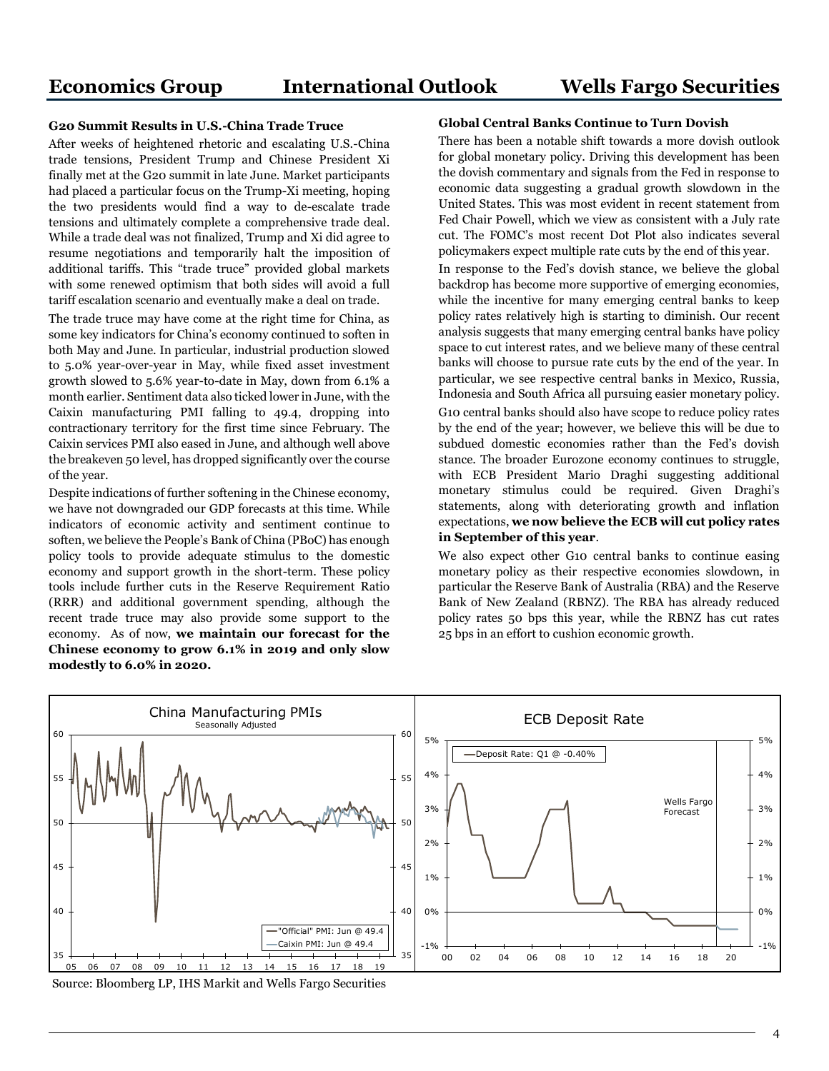### **G20 Summit Results in U.S.-China Trade Truce**

After weeks of heightened rhetoric and escalating U.S.-China trade tensions, President Trump and Chinese President Xi finally met at the G20 summit in late June. Market participants had placed a particular focus on the Trump-Xi meeting, hoping the two presidents would find a way to de-escalate trade tensions and ultimately complete a comprehensive trade deal. While a trade deal was not finalized, Trump and Xi did agree to resume negotiations and temporarily halt the imposition of additional tariffs. This "trade truce" provided global markets with some renewed optimism that both sides will avoid a full tariff escalation scenario and eventually make a deal on trade.

The trade truce may have come at the right time for China, as some key indicators for China's economy continued to soften in both May and June. In particular, industrial production slowed to 5.0% year-over-year in May, while fixed asset investment growth slowed to 5.6% year-to-date in May, down from 6.1% a month earlier. Sentiment data also ticked lower in June, with the Caixin manufacturing PMI falling to 49.4, dropping into contractionary territory for the first time since February. The Caixin services PMI also eased in June, and although well above the breakeven 50 level, has dropped significantly over the course of the year.

Despite indications of further softening in the Chinese economy, we have not downgraded our GDP forecasts at this time. While indicators of economic activity and sentiment continue to soften, we believe the People's Bank of China (PBoC) has enough policy tools to provide adequate stimulus to the domestic economy and support growth in the short-term. These policy tools include further cuts in the Reserve Requirement Ratio (RRR) and additional government spending, although the recent trade truce may also provide some support to the economy. As of now, **we maintain our forecast for the Chinese economy to grow 6.1% in 2019 and only slow modestly to 6.0% in 2020.**

### **Global Central Banks Continue to Turn Dovish**

There has been a notable shift towards a more dovish outlook for global monetary policy. Driving this development has been the dovish commentary and signals from the Fed in response to economic data suggesting a gradual growth slowdown in the United States. This was most evident in recent statement from Fed Chair Powell, which we view as consistent with a July rate cut. The FOMC's most recent Dot Plot also indicates several policymakers expect multiple rate cuts by the end of this year.

In response to the Fed's dovish stance, we believe the global backdrop has become more supportive of emerging economies, while the incentive for many emerging central banks to keep policy rates relatively high is starting to diminish. Our recent analysis suggests that many emerging central banks have policy space to cut interest rates, and we believe many of these central banks will choose to pursue rate cuts by the end of the year. In particular, we see respective central banks in Mexico, Russia, Indonesia and South Africa all pursuing easier monetary policy. G10 central banks should also have scope to reduce policy rates by the end of the year; however, we believe this will be due to subdued domestic economies rather than the Fed's dovish stance. The broader Eurozone economy continues to struggle, with ECB President Mario Draghi suggesting additional monetary stimulus could be required. Given Draghi's statements, along with deteriorating growth and inflation expectations, **we now believe the ECB will cut policy rates in September of this year**.

We also expect other G10 central banks to continue easing monetary policy as their respective economies slowdown, in particular the Reserve Bank of Australia (RBA) and the Reserve Bank of New Zealand (RBNZ). The RBA has already reduced policy rates 50 bps this year, while the RBNZ has cut rates 25 bps in an effort to cushion economic growth.



Source: Bloomberg LP, IHS Markit and Wells Fargo Securities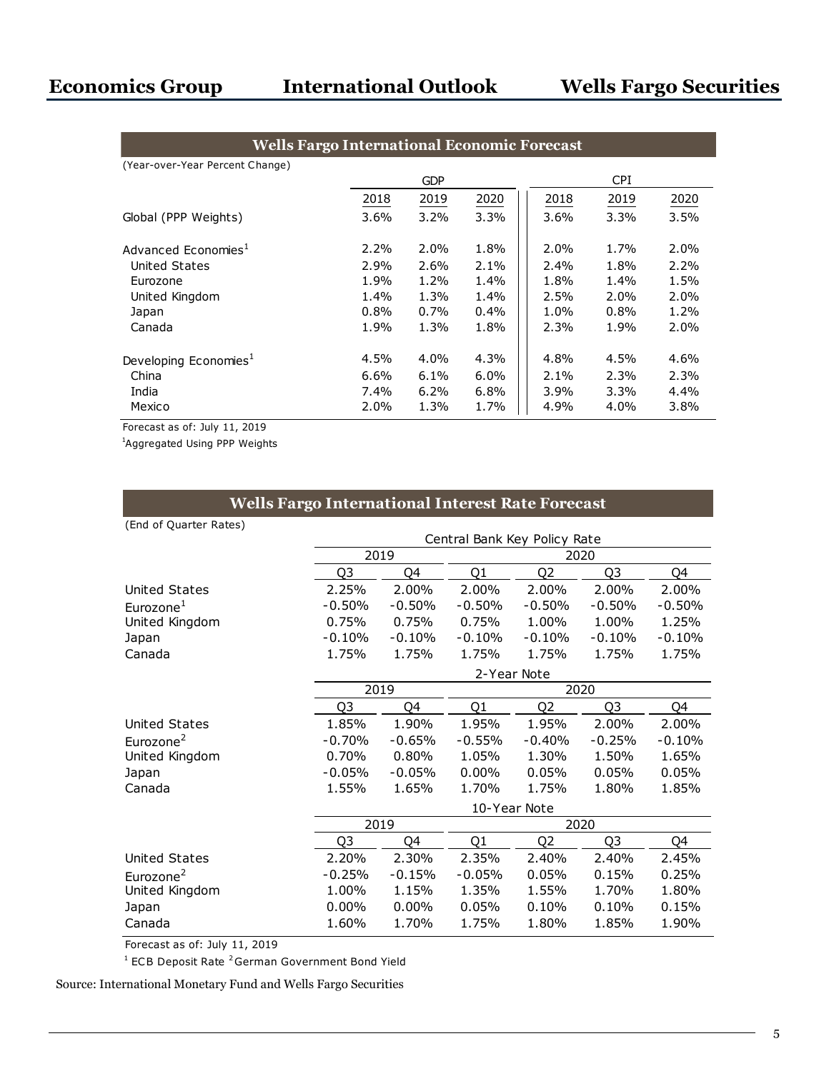| <b>Wells Fargo International Economic Forecast</b> |      |            |      |            |         |         |  |  |
|----------------------------------------------------|------|------------|------|------------|---------|---------|--|--|
| (Year-over-Year Percent Change)                    |      |            |      |            |         |         |  |  |
|                                                    |      | <b>GDP</b> |      | <b>CPI</b> |         |         |  |  |
|                                                    | 2018 | 2019       | 2020 | 2018       | 2019    | 2020    |  |  |
| Global (PPP Weights)                               | 3.6% | 3.2%       | 3.3% | 3.6%       | 3.3%    | 3.5%    |  |  |
| Advanced Economies <sup>1</sup>                    | 2.2% | 2.0%       | 1.8% | 2.0%       | 1.7%    | 2.0%    |  |  |
| <b>United States</b>                               | 2.9% | 2.6%       | 2.1% | 2.4%       | 1.8%    | 2.2%    |  |  |
| Eurozone                                           | 1.9% | 1.2%       | 1.4% | 1.8%       | 1.4%    | 1.5%    |  |  |
| United Kingdom                                     | 1.4% | 1.3%       | 1.4% | 2.5%       | 2.0%    | 2.0%    |  |  |
| Japan                                              | 0.8% | $0.7\%$    | 0.4% | $1.0\%$    | 0.8%    | $1.2\%$ |  |  |
| Canada                                             | 1.9% | 1.3%       | 1.8% | 2.3%       | 1.9%    | 2.0%    |  |  |
| Developing Economies <sup>1</sup>                  | 4.5% | 4.0%       | 4.3% | 4.8%       | 4.5%    | 4.6%    |  |  |
| China                                              | 6.6% | 6.1%       | 6.0% | 2.1%       | 2.3%    | 2.3%    |  |  |
| India                                              | 7.4% | 6.2%       | 6.8% | 3.9%       | $3.3\%$ | 4.4%    |  |  |
| Mexico                                             | 2.0% | 1.3%       | 1.7% | 4.9%       | 4.0%    | 3.8%    |  |  |

Forecast as of: July 11, 2019

<sup>1</sup>Aggregated Using PPP Weights

| <b>Wells Fargo International Interest Rate Forecast</b> |              |          |                              |                |                |          |  |  |  |  |  |
|---------------------------------------------------------|--------------|----------|------------------------------|----------------|----------------|----------|--|--|--|--|--|
| (End of Quarter Rates)                                  |              |          |                              |                |                |          |  |  |  |  |  |
|                                                         |              |          | Central Bank Key Policy Rate |                |                |          |  |  |  |  |  |
|                                                         |              | 2019     |                              | 2020           |                |          |  |  |  |  |  |
|                                                         | Q3           | O4       | Q1                           | Q <sub>2</sub> | Q3             | Q4       |  |  |  |  |  |
| <b>United States</b>                                    | 2.25%        | 2.00%    | 2.00%                        | 2.00%          | 2.00%          | 2.00%    |  |  |  |  |  |
| Eurozone $1$                                            | $-0.50%$     | $-0.50%$ | $-0.50%$                     | $-0.50%$       | $-0.50%$       | $-0.50%$ |  |  |  |  |  |
| United Kingdom                                          | 0.75%        | 0.75%    | 0.75%                        | 1.00%          | 1.00%          | 1.25%    |  |  |  |  |  |
| Japan                                                   | $-0.10%$     | $-0.10%$ | $-0.10%$                     | $-0.10%$       | $-0.10%$       | $-0.10%$ |  |  |  |  |  |
| Canada                                                  | 1.75%        | 1.75%    | 1.75%                        | 1.75%          | 1.75%          | 1.75%    |  |  |  |  |  |
|                                                         | 2-Year Note  |          |                              |                |                |          |  |  |  |  |  |
|                                                         |              | 2019     |                              |                |                |          |  |  |  |  |  |
|                                                         | Q3           | O4       | Q1                           | Q <sub>2</sub> | Q <sub>3</sub> | Q4       |  |  |  |  |  |
| <b>United States</b>                                    | 1.85%        | 1.90%    | 1.95%                        | 1.95%          | 2.00%          | 2.00%    |  |  |  |  |  |
| Eurozone <sup>2</sup>                                   | $-0.70%$     | $-0.65%$ | $-0.55%$                     | $-0.40%$       | $-0.25%$       | $-0.10%$ |  |  |  |  |  |
| United Kingdom                                          | 0.70%        | 0.80%    | 1.05%                        | 1.30%          | 1.50%          | 1.65%    |  |  |  |  |  |
| Japan                                                   | $-0.05%$     | $-0.05%$ | $0.00\%$                     | 0.05%          | 0.05%          | 0.05%    |  |  |  |  |  |
| Canada                                                  | 1.55%        | 1.65%    | 1.70%                        | 1.75%          | 1.80%          | 1.85%    |  |  |  |  |  |
|                                                         | 10-Year Note |          |                              |                |                |          |  |  |  |  |  |
|                                                         |              | 2019     |                              |                |                |          |  |  |  |  |  |
|                                                         | Q3           | Q4       | Q <sub>1</sub>               | Q <sub>2</sub> | Q <sub>3</sub> | Q4       |  |  |  |  |  |
| <b>United States</b>                                    | 2.20%        | 2.30%    | 2.35%                        | 2.40%          | 2.40%          | 2.45%    |  |  |  |  |  |
| Eurozone <sup>2</sup>                                   | $-0.25%$     | $-0.15%$ | $-0.05%$                     | 0.05%          | 0.15%          | 0.25%    |  |  |  |  |  |
| United Kingdom                                          | 1.00%        | 1.15%    | 1.35%                        | 1.55%          | 1.70%          | 1.80%    |  |  |  |  |  |
| Japan                                                   | $0.00\%$     | $0.00\%$ | 0.05%                        | 0.10%          | 0.10%          | 0.15%    |  |  |  |  |  |
| Canada                                                  | 1.60%        | 1.70%    | 1.75%                        | 1.80%          | 1.85%          | 1.90%    |  |  |  |  |  |

Forecast as of: July 11, 2019

<sup>1</sup> ECB Deposit Rate <sup>2</sup> German Government Bond Yield

Source: International Monetary Fund and Wells Fargo Securities